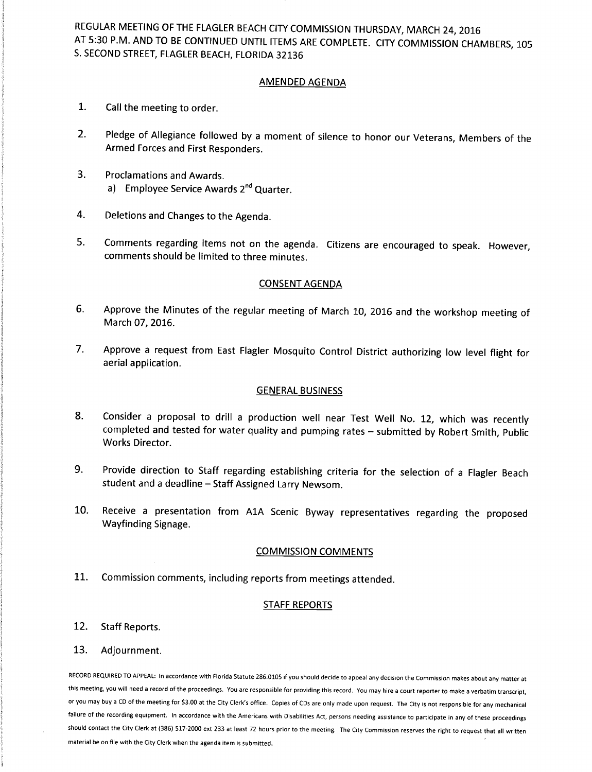REGULAR MEETING OF THE FLAGLER BEACH CITY COMMISSION THURSDAY, MARCH 24, 2016 AT 5:30 P.M. AND TO BE CONTINUED UNTIL ITEMS ARE COMPLETE. CITY COMMISSION CHAMBERS, 105 S. SECOND STREET, FLAGLER BEACH, FLORIDA 32136

### AMENDED AGENDA

- I. Call the meeting to order.
- 2. Pledge of Allegiance followed by <sup>a</sup> moment of silence to honor our Veterans, Members of the Armed Forces and First Responders.
- 3. Proclamations and Awards. a) Employee Service Awards 2<sup>nd</sup> Quarter.
- 4. Deletions and Changes to the Agenda.
- 5. Comments regarding items not on the agenda. Citizens are encouraged to speak. However, comments should be limited to three minutes.

### CONSENT AGENDA

- 6. Approve the Minutes of the regular meeting of March 10, 2016 and the workshop meeting of March 07, 2016.
- 7. Approve <sup>a</sup> request from East Flagler Mosquito Control District authorizing low level flight for aerial application.

### GENERAL BUSINESS

- 8. Consider <sup>a</sup> proposal to drill <sup>a</sup> production well near Test Well No. 12, which was recently completed and tested for water quality and pumping rates — submitted by Robert Smith, Public Works Director.
- 9. Provide direction to Staff regarding establishing criteria for the selection of <sup>a</sup> Flagler Beach student and <sup>a</sup> deadline — Staff Assigned Larry Newsom.
- 10. Receive <sup>a</sup> presentation from A1A Scenic Byway representatives regarding the proposed Wayfinding Signage.

### COMMISSION COMMENTS

11. Commission comments, including reports from meetings attended.

### STAFF REPORTS

12. Staff Reports.

### 13. Adjournment.

RECORD REQUIRED TO APPEAL: In accordance with Florida Statute 286.0105 if you should decide to appeal any decision the Commission makes about any matter at this meeting, you will need a record of the proceedings. You are responsible for providing this record. You may hire <sup>a</sup> court reporter to make <sup>a</sup> verbatim transcript, or you may buy a CD of the meeting for \$3.00 at the City Clerk's office. Copies of CDs are only made upon request. The City is not responsible for any mechanical failure of the recording equipment. In accordance with the Americans with Disabilities Act, persons needing assistance to participate in any of these proceedings should contact the City Clerk at ( 386) 517 -2000 ext 233 at least 72 hours prior to the meeting. The City Commission reserves the right to request that all written material be on file with the City Clerk when the agenda item is submitted.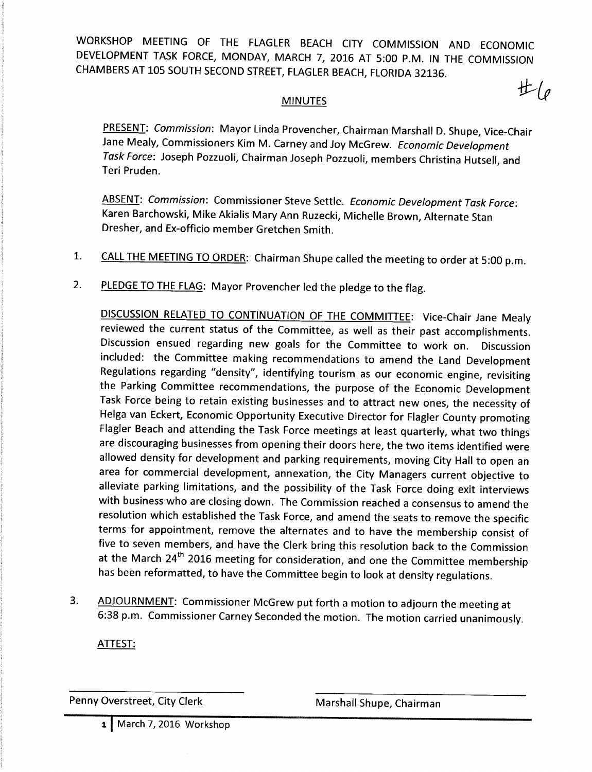WORKSHOP MEETING OF THE FLAGLER BEACH CITY COMMISSION AND ECONOMIC DEVELOPMENT TASK FORCE, MONDAY, MARCH 7, 2016 AT 5:00 P.M. IN THE COMMISSION CHAMBERS AT 105 SOUTH SECOND STREET, FLAGLER BEACH, FLORIDA 32136.

### MINUTES

PRESENT: Commission: Mayor Linda Provencher, Chairman Marshall D. Shupe, Vice-Chair Jane Mealy, Commissioners Kim M. Carney and Joy McGrew. Economic Development Task Force: Joseph Pozzuoli, Chairman Joseph Pozzuoli, members Christina Hutsell, and Teri Pruden.

ABSENT: Commission: Commissioner Steve Settle. Economic Development Task Force: Karen Barchowski, Mike Akialis Mary Ann Ruzecki, Michelle Brown, Alternate Stan Dresher, and Ex-officio member Gretchen Smith.

- 1. CALL THE MEETING TO ORDER: Chairman Shupe called the meeting to order at 5:00 p.m.
- 2. PLEDGE TO THE FLAG: Mayor Provencher led the pledge to the flag.

DISCUSSION RELATED TO CONTINUATION OF THE COMMITTEE: Vice-Chair Jane Mealy reviewed the current status of the Committee, as well as their past accomplishments. Discussion ensued regarding new goals for the Committee to work on. Discussion included: the Committee making recommendations to amend the Land Development Regulations regarding "density", identifying tourism as our economic engine, revisiting the Parking Committee recommendations, the purpose of the Economic Development Task Force being to retain existing businesses and to attract new ones, the necessity of Helga van Eckert, Economic Opportunity Executive Director for Flagler County promoting Flagler Beach and attending the Task Force meetings at least quarterly, what two things are discouraging businesses from opening their doors here, the two items identified were allowed density for development and parking requirements, moving City Hall to open an area for commercial development, annexation, the City Managers current objective to alleviate parking limitations, and the possibility of the Task Force doing exit interviews with business who are closing down. The Commission reached <sup>a</sup> consensus to amend the resolution which established the Task Force, and amend the seats to remove the specific terms for appointment, remove the alternates and to have the membership consist of five to seven members, and have the Clerk bring this resolution back to the Commission at the March 24<sup>th</sup> 2016 meeting for consideration, and one the Committee membership has been reformatted, to have the Committee begin to look at density regulations.

3. ADJOURNMENT: Commissioner McGrew put forth a motion to adjourn the meeting at 6:38 p.m. Commissioner Carney Seconded the motion. The motion carried unanimously.

ATTEST:

Penny Overstreet, City Clerk Marshall Shupe, Chairman

1 March 7, 2016 Workshop

 $#_{\left( \rho\right) }$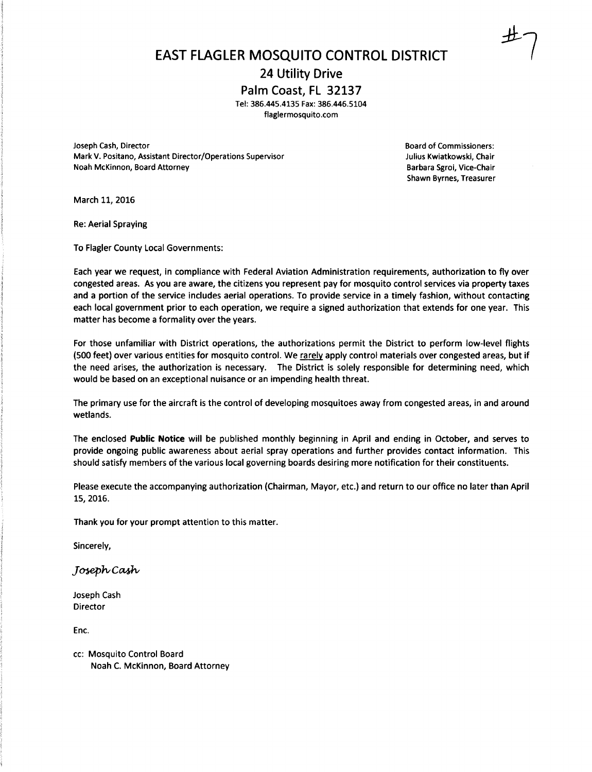EAST FLAGLER MOSQUITO CONTROL DISTRICT

24 Utility Drive

Palm Coast, FL 32137

Tel: 386.445.4135 Fax: 386.446.5104

flaglermosquito.com

Joseph Cash, Director Board of Commissioners: Mark V. Positano, Assistant Director/Operations Supervisor Julius Kwiatkowski, Chair Noah McKinnon, Board Attorney **Barbara Sgroi, Vice-Chair** Barbara Sgroi, Vice-Chair

Shawn Byrnes, Treasurer

March 11, 2016

Re: Aerial Spraying

To Flagler County Local Governments:

Each year we request, in compliance with Federal Aviation Administration requirements, authorization to fly over congested areas. As you are aware, the citizens you represent pay for mosquito control services via property taxes and <sup>a</sup> portion of the service includes aerial operations. To provide service in a timely fashion, without contacting each local government prior to each operation, we require <sup>a</sup> signed authorization that extends for one year. This matter has become a formality over the years.

For those unfamiliar with District operations, the authorizations permit the District to perform low -level flights 500 feet) over various entities for mosquito control. We rarely apply control materials over congested areas, but if the need arises, the authorization is necessary. The District is solely responsible for determining need, which would be based on an exceptional nuisance or an impending health threat.

The primary use for the aircraft is the control of developing mosquitoes away from congested areas, in and around wetlands.

The enclosed Public Notice will be published monthly beginning in April and ending in October, and serves to provide ongoing public awareness about aerial spray operations and further provides contact information. This should satisfy members of the various local governing boards desiring more notification for their constituents.

Please execute the accompanying authorization (Chairman, Mayor, etc.) and return to our office no later than April 15, 2016.

Thank you for your prompt attention to this matter.

Sincerely,

Joseph Cash

Joseph Cash Director

Enc.

cc: Mosquito Control Board Noah C. McKinnon, Board Attorney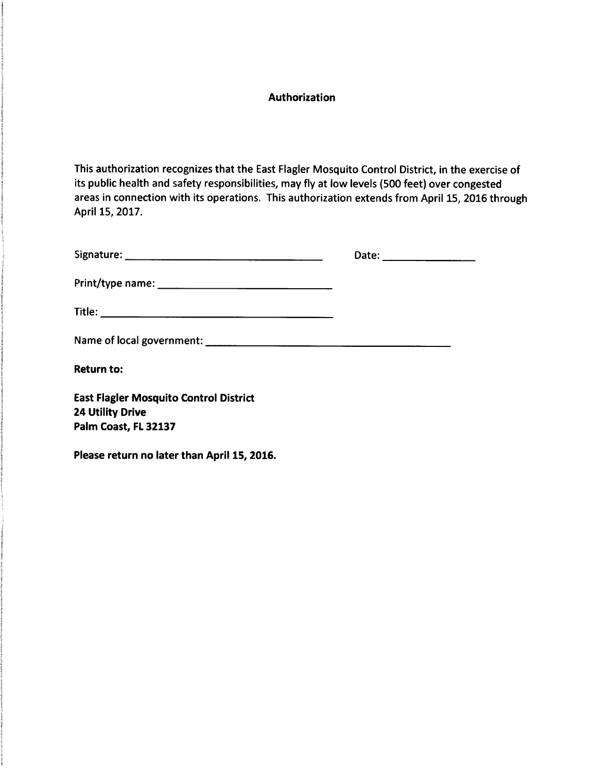### Authorization

This authorization recognizes that the East Flagler Mosquito Control District, in the exercise of its public health and safety responsibilities, may fly at low levels ( 500 feet) over congested areas in connection with its operations. This authorization extends from April 15, 2016 through April 15, 2017.

|                                               | Date: ___________________ |
|-----------------------------------------------|---------------------------|
|                                               |                           |
|                                               |                           |
|                                               |                           |
| <b>Return to:</b>                             |                           |
| <b>East Flagler Mosquito Control District</b> |                           |
| <b>24 Utility Drive</b>                       |                           |
| Palm Coast, FL 32137                          |                           |

Please return no later than April 15, 2016.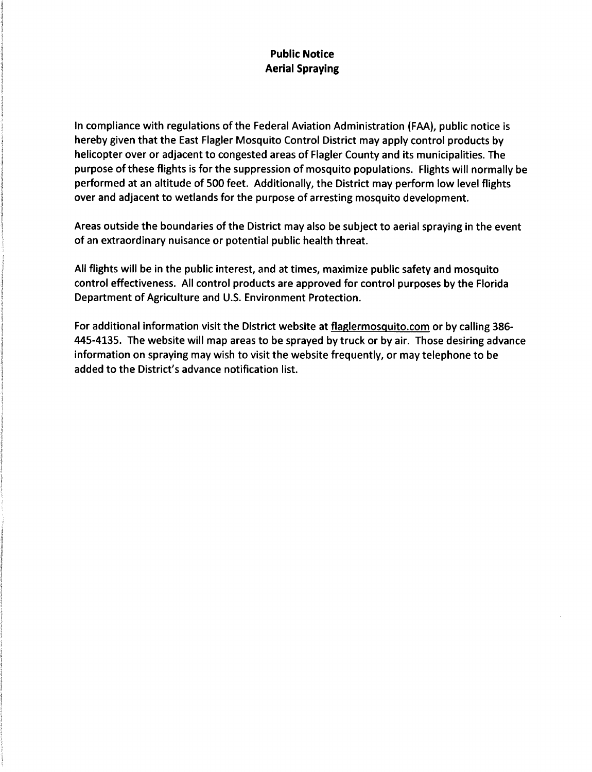### Public Notice Aerial Spraying

In compliance with regulations of the Federal Aviation Administration ( FAA), public notice is hereby given that the East Flagler Mosquito Control District may apply control products by helicopter over or adjacent to congested areas of Flagler County and its municipalities. The purpose of these flights is for the suppression of mosquito populations. Flights will normally be performed at an altitude of 500 feet. Additionally, the District may perform low level flights over and adjacent to wetlands for the purpose of arresting mosquito development.

Areas outside the boundaries of the District may also be subject to aerial spraying in the event of an extraordinary nuisance or potential public health threat.

All flights will be in the public interest, and at times, maximize public safety and mosquito control effectiveness. All control products are approved for control purposes by the Florida Department of Agriculture and U.S. Environment Protection.

For additional information visit the District website at flaglermosquito.com or by calling 386-445 -4135. The website will map areas to be sprayed by truck or by air. Those desiring advance information on spraying may wish to visit the website frequently, or may telephone to be added to the District's advance notification list.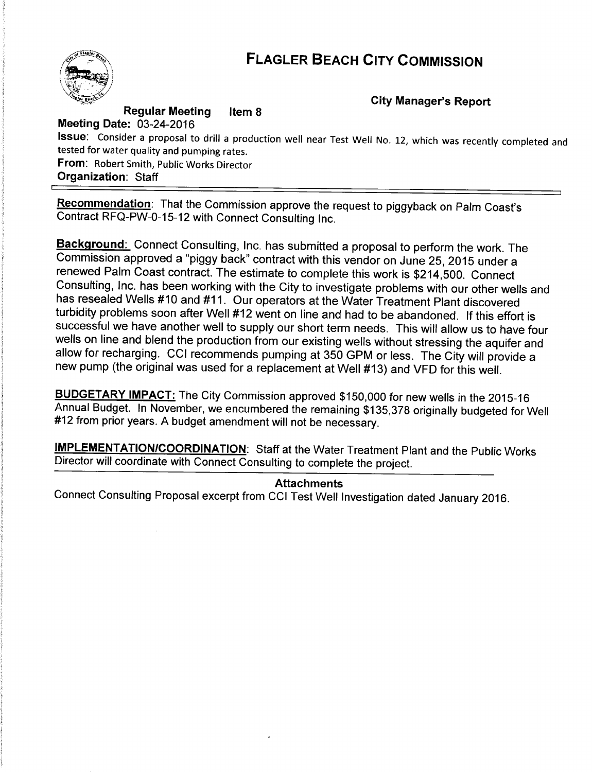### FLAGLER BEACH CITY COMMISSION



Regular Meeting Meeting Date: 03-24-2016 Item 8 City Manager's Report

Issue: Consider <sup>a</sup> proposal to drill <sup>a</sup> production well near Test Well No. 12, which was recently completed and tested for water quality and pumping rates. From: Robert Smith, Public Works Director Organization: Staff

Recommendation: That the Commission approve the request to piggyback on Palm Coast's Contract RFQ-PW-0-15-12 with Connect Consulting Inc.

Background: Connect Consulting, Inc. has submitted a proposal to perform the work. The Commission approved a "piggy back" contract with this vendor on June 25, 2015 under a renewed Palm Coast contract. The estimate to complete this work is \$214,500. Connect Consulting, Inc. has been working with the City to investigate problems with our other wells and has resealed Wells #10 and #11. Our operators at the Water Treatment Plant discovered turbidity problems soon after Well #12 went on line and had to be abandoned. If this effort is successful we have another well to supply our short term needs. This will allow us to have four wells on line and blend the production from our existing wells without stressing the aquifer and allow for recharging. CCI recommends pumping at 350 GPM or less. The City will provide <sup>a</sup> new pump (the original was used for a replacement at Well #13) and VFD for this well.

BUDGETARY IMPACT: The City Commission approved \$150,000 for new wells in the 2015-16 Annual Budget. In November, we encumbered the remaining \$135,378 originally budgeted for Well #12 from prior years. A budget amendment will not be necessary.

IMPLEMENTATION/COORDINATION: Staff at the Water Treatment Plant and the Public Works Director will coordinate with Connect Consulting to complete the project.

### Attachments

Connect Consulting Proposal excerpt from CCI Test Well Investigation dated January 2016.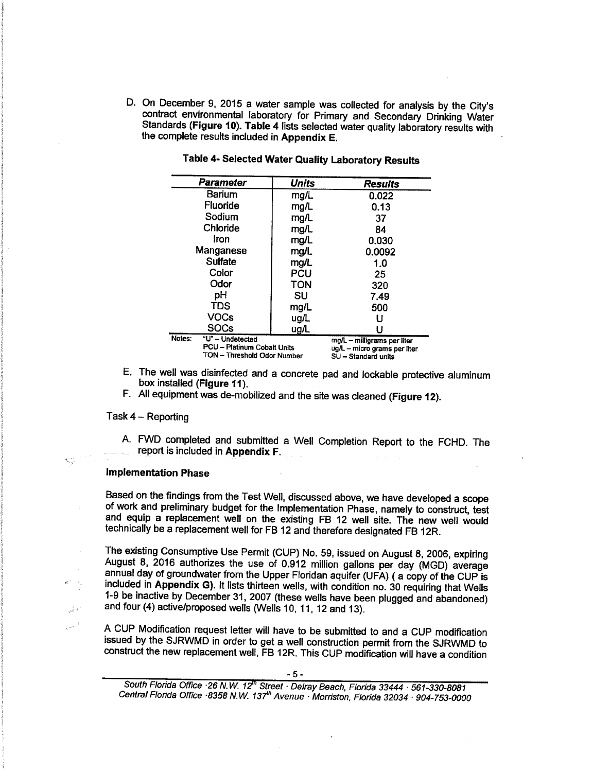D. On December 9, 2015 a water sample was collected for analysis by the City's contract environmental laboratory for Primary and Secondary Drinking Water Standards (Figure 10). Table 4 lists selected water quality laboratory results with the complete results included in Appendix E.

| Parameter                  | <b>Units</b>                                               | <b>Results</b>                                                                     |
|----------------------------|------------------------------------------------------------|------------------------------------------------------------------------------------|
| <b>Barium</b>              | mg/L                                                       | 0.022                                                                              |
| Fluoride                   | mg/L                                                       | 0.13                                                                               |
| Sodium                     | mg/L                                                       | 37                                                                                 |
| Chloride                   | mg/L                                                       | 84                                                                                 |
| Iron                       | mg/L                                                       | 0.030                                                                              |
| Manganese                  | mg/L                                                       | 0.0092                                                                             |
| Sulfate                    | mq/L                                                       | 1.0                                                                                |
| Color                      | PCU                                                        | 25                                                                                 |
| Odor                       | <b>TON</b>                                                 | 320                                                                                |
| pH                         | SU                                                         | 7.49                                                                               |
| <b>TDS</b>                 | mg/L                                                       | 500                                                                                |
| VOCs                       | ug/L                                                       |                                                                                    |
| <b>SOCs</b>                | $u$ g/L                                                    |                                                                                    |
| Notes:<br>"U" - Undetected | PCU - Platinum Cobalt Units<br>TON - Threshold Odor Number | mg/L - milligrams per liter<br>ug/L - micro grams per liter<br>SU - Standard units |

|  |  |  | Table 4- Selected Water Quality Laboratory Results |  |
|--|--|--|----------------------------------------------------|--|
|--|--|--|----------------------------------------------------|--|

2002 - 2003 - 2004 - 2005 - 2006 - 2007 - 2008 - 2009 - 2009 - 2009 - 2009 - 2009 - 2009 - 2009 - 2009 - 2009

- E. The well was disinfected and a concrete pad and lockable protective aluminum box installed (Figure 11).
- F. All equipment was de-mobilized and the site was cleaned (Figure 12).

### Task 4 — Reporting

€

 $\frac{1}{4\pi\eta_{\rm th}}$ 

A. FWD completed and submitted a Well Completion Report to the FCHD. The report is included in Appendix F.

#### Implementation Phase

Based on the findings from the Test Well, discussed above, we have developed a scope of work and preliminary budget for the Implementation Phase, namely to construct, test and equip a replacement well on the existing FB 12 well site. The new well would technically be a replacement well for FB 12 and therefore designated FB 12R.

The existing Consumptive Use Permit (CUP) No. 59, issued on August 8, 2006, expiring August 8, 2016 authorizes the use of 0.912 million gallons per day (MGD) average annual day of groundwater from the Upper Floridan aquifer (UFA) ( a copy of the CUP is included in Appendix G). It lists thirteen wells, with condition no. 30 requiring that Wells 1-9 be inactive by December 31, 2007 (these wells have been plugged and abandoned) and four (4) active /proposed wells (Wells 10, 11, 12 and 13).

A CUP Modification request letter will have to be submitted to and a CUP modification issued by the SJRWMD in order to get a well construction permit from the SJRWMD to construct the new replacement well, FB 12R. This CUP modification will have a condition

South Florida Office · 26 N.W. 12<sup>th</sup> Street · Delray Beach, Florida 33444 · 561-330-8081 Central Florida Office · 8358 N.W. 137<sup>th</sup> Avenue · Morriston, Florida 32034 · 904-753-0000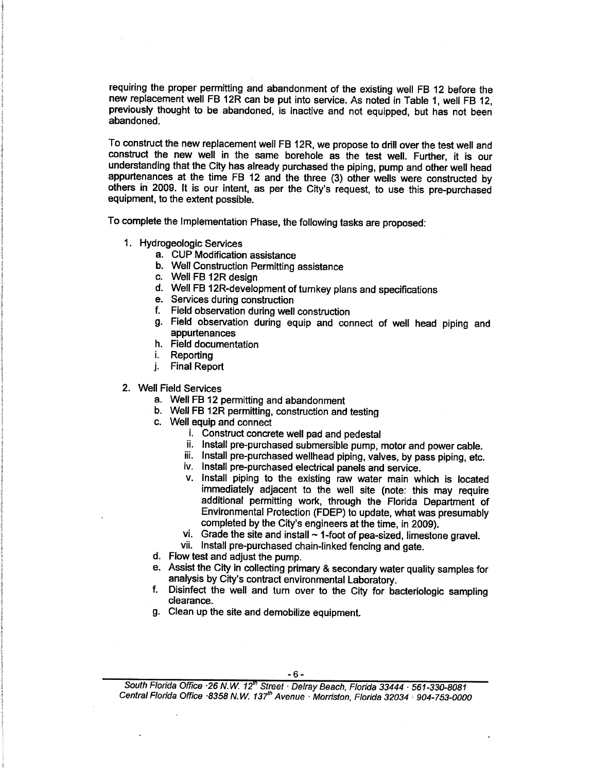requiring the proper permitting and abandonment of the existing well FB 12 before the new replacement well FB 12R can be put into service. As noted in Table 1, well FB 12, previously thought to be abandoned, is inactive and not equipped, but has not been abandoned.

To construct the new replacement well FB 12R, we propose to drill over the test well and construct the new well in the same borehole as the test well. Further, it is our understanding that the City has already purchased the piping, pump and other well head appurtenances at the time FB 12 and the three (3) other wells were constructed by others in 2009. It is our intent, as per the City's request, to use this pre-purchased equipment, to the extent possible.

To complete the Implementation Phase, the following tasks are proposed:

- 1. Hydrogeologic Services
	- a. CUP Modification assistance
	- b. Well Construction Permitting assistance
	- c. Well FB 12R design
	- d. Well FB 12R- development of turnkey plans and specifications
	- e. Services during construction
	- f. Field observation during well construction
	- g. Field observation during equip and connect of well head piping and appurtenances
	- h. Field documentation
	- i. Reporting
	- j. Final Report
- 2. Well Field Services
	- a. Well FB 12 permitting and abandonment
	- b. Well FB 12R permitting, construction and testing
	- c. Well equip and connect
		- i. Construct concrete well pad and pedestal
		- ii. Install pre-purchased submersible pump, motor and power cable.
		- iii. Install pre-purchased wellhead piping, valves, by pass piping, etc.
		- iv. Install pre- purchased electrical panels and service.
		- v. Install piping to the existing raw water main which is located immediately adjacent to the well site (note: this may require additional permitting work, through the Florida Department of Environmental Protection (FDEP) to update, what was presumably completed by the City's engineers at the time, in 2009).
		- vi. Grade the site and install  $\sim$  1-foot of pea-sized, limestone gravel.
		- vii. Install pre-purchased chain-linked fencing and gate.
	- d. Flow test and adjust the pump.
	- e. Assist the City in collecting primary & secondary water quality samples for analysis by City's contract environmental Laboratory.
	- f. Disinfect the well and turn over to the City for bacteriologic sampling clearance.
	- g. Clean up the site and demobilize equipment.

South Florida Office · 26 N.W. 12<sup>th</sup> Street · Delray Beach, Florida 33444 · 561-330-8081 Central Florida Office ·8358 N.W. 137<sup>th</sup> Avenue · Morriston, Florida 32034 · 904-753-0000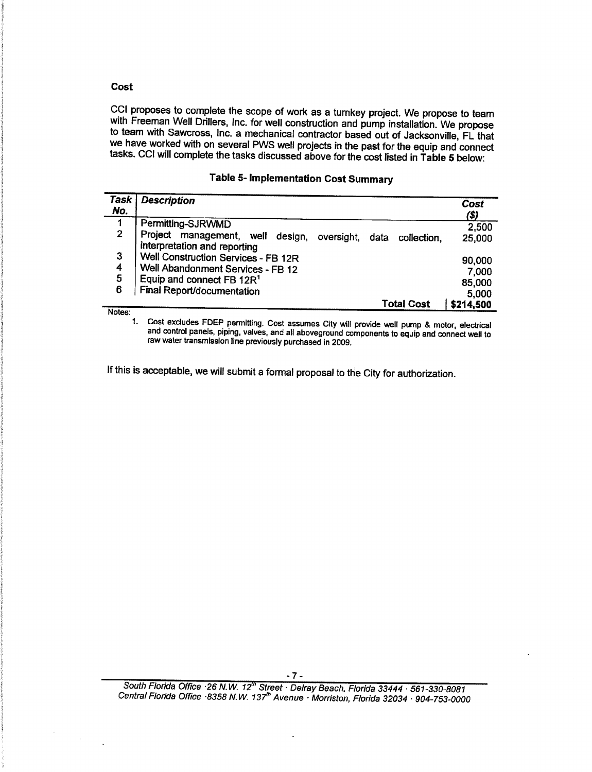### Cost

CCI proposes to complete the scope of work as a turnkey project. We propose to team with Freeman Well Drillers, Inc. for well construction and pump installation. We propose to team with Sawcross, Inc. a mechanical contractor based out of Jacksonville, FL that we have worked with on several PWS well projects in the past for the equip and connect tasks. CCI will complete the tasks discussed above for the cost listed in Table 5 below:

|  |  |  |  | <b>Table 5- Implementation Cost Summary</b> |
|--|--|--|--|---------------------------------------------|
|--|--|--|--|---------------------------------------------|

| Task           | <b>Description</b>                                                                                       | Cost      |
|----------------|----------------------------------------------------------------------------------------------------------|-----------|
| No.            |                                                                                                          | (\$)      |
| 1              | Permitting-SJRWMD                                                                                        | 2,500     |
| $\overline{2}$ | Project management, well<br>design,<br>oversight,<br>data<br>collection.<br>interpretation and reporting | 25,000    |
| 3              | Well Construction Services - FB 12R                                                                      | 90,000    |
| 4              | Well Abandonment Services - FB 12                                                                        | 7,000     |
| 5              | Equip and connect FB 12R <sup>1</sup>                                                                    | 85,000    |
| 6              | Final Report/documentation                                                                               | 5,000     |
| $84 - 4 - -$   | Total Cost                                                                                               | \$214,500 |

Notes:<br>1.

Cost excludes FDEP permitting. Cost assumes City will provide well pump & motor, electrical and control panels, piping, valves, and all aboveground components to equip and connect well to raw water transmission line previously purchased in 2009.

If this is acceptable, we will submit a formal proposal to the City for authorization.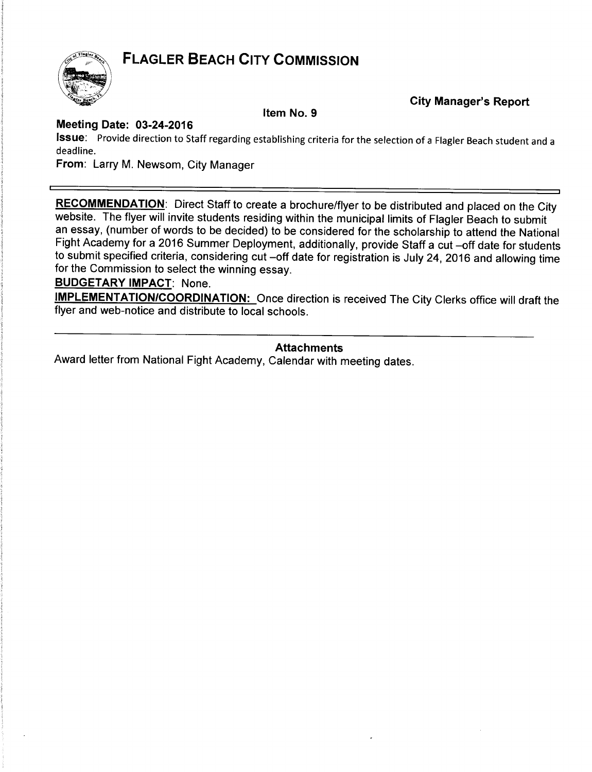### **FLAGLER BEACH CITY COMMISSION**



**City Manager's Report** 

Item No. 9

### Meeting Date: 03 -24 -2016

Issue: Provide direction to Staff regarding establishing criteria for the selection of <sup>a</sup> Flagler Beach student and <sup>a</sup> deadline.

From: Larry M. Newsom, City Manager

RECOMMENDATION: Direct Staff to create a brochure/flyer to be distributed and placed on the City website. The flyer will invite students residing within the municipal limits of Flagler Beach to submit an essay, (number of words to be decided) to be considered for the scholarship to attend the National Fight Academy for a 2016 Summer Deployment, additionally, provide Staff a cut -off date for students to submit specified criteria, considering cut —off date for registration is July 24, 2016 and allowing time for the Commission to select the winning essay.

### BUDGETARY IMPACT: None.

IMPLEMENTATION/COORDINATION: Once direction is received The City Clerks office will draft the flyer and web-notice and distribute to local schools.

### Attachments

Award letter from National Fight Academy, Calendar with meeting dates.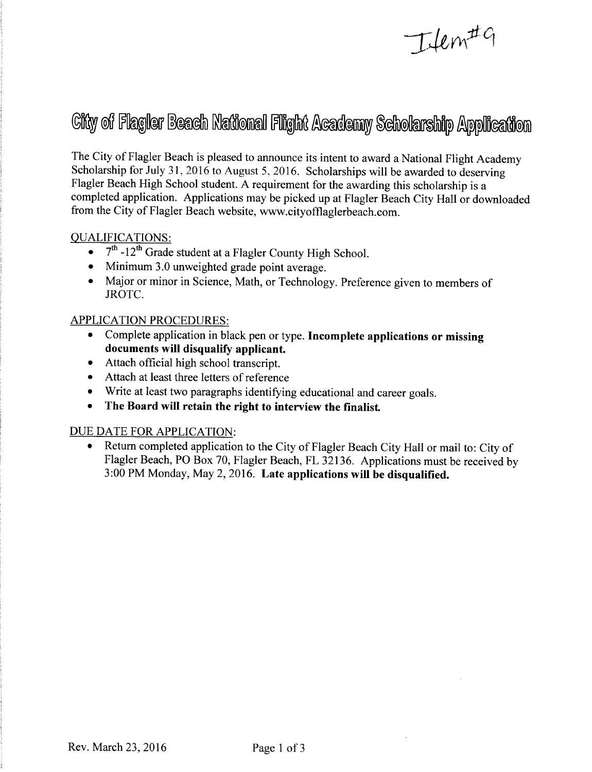# Item#9

# Gity of Flagler Beach National Flight Academy Scholarship Application

The City of Flagler Beach is pleased to announce its intent to award <sup>a</sup> National Flight Academy Scholarship for July 31, <sup>2016</sup> to August 5, 2016. Scholarships will be awarded to deserving Flagler Beach High School student. A requirement for the awarding this scholarship is a completed application. Applications may be picked up at Flagler Beach City Hall or downloaded from the City of Flagler Beach website, www.cityofflaglerbeach.com.

### QUALIFICATIONS:

- 7<sup>th</sup> -12<sup>th</sup> Grade student at a Flagler County High School.
- Minimum 3.0 unweighted grade point average.
- Major or minor in Science, Math, or Technology. Preference given to members of JROTC.

### APPLICATION PROCEDURES:

- Complete application in black pen or type. Incomplete applications or missing documents will disqualify applicant.
- Attach official high school transcript.
- Attach at least three letters of reference
- Write at least two paragraphs identifying educational and career goals.
- The Board will retain the right to interview the finalist.

### DUE DATE FOR APPLICATION:

Return completed application to the City of Flagler Beach City Hall or mail to: City of Flagler Beach, PO Box 70, Flagler Beach, FL 32136. Applications must be received by 3: 00 PM Monday, May 2, 2016. Late applications will be disqualified.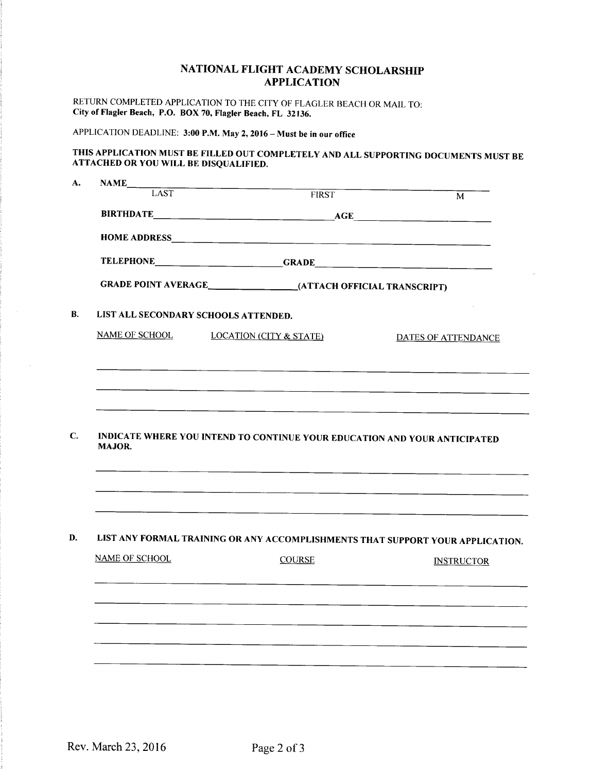### NATIONAL FLIGHT ACADEMY SCHOLARSHIP APPLICATION

RETURN COMPLETED APPLICATION TO THE CITY OF FLAGLER BEACH OR MAIL TO: City of Flagler Beach, P.O. BOX 70, Flagler Beach, FL 32136.

APPLICATION DEADLINE: 3:00 P.M. May 2, 2016 - Must be in our office

### THIS APPLICATION MUST BE FILLED OUT COMPLETELY AND ALL SUPPORTING DOCUMENTS MUST BE ATTACHED OR YOU WILL BE DISQUALIFIED.

| NAME                            |                                                                                |                            |
|---------------------------------|--------------------------------------------------------------------------------|----------------------------|
| <b>LAST</b>                     | <b>FIRST</b>                                                                   | M                          |
|                                 |                                                                                |                            |
|                                 |                                                                                |                            |
|                                 | TELEPHONE GRADE GRADE                                                          |                            |
|                                 |                                                                                |                            |
|                                 | LIST ALL SECONDARY SCHOOLS ATTENDED.                                           |                            |
| NAME OF SCHOOL                  | <b>LOCATION (CITY &amp; STATE)</b>                                             | <b>DATES OF ATTENDANCE</b> |
|                                 |                                                                                |                            |
|                                 |                                                                                |                            |
|                                 |                                                                                |                            |
|                                 |                                                                                |                            |
|                                 | INDICATE WHERE YOU INTEND TO CONTINUE YOUR EDUCATION AND YOUR ANTICIPATED      |                            |
|                                 |                                                                                |                            |
|                                 | LIST ANY FORMAL TRAINING OR ANY ACCOMPLISHMENTS THAT SUPPORT YOUR APPLICATION. |                            |
|                                 | <b>COURSE</b>                                                                  | <b>INSTRUCTOR</b>          |
|                                 |                                                                                |                            |
|                                 |                                                                                |                            |
|                                 |                                                                                |                            |
| MAJOR.<br><b>NAME OF SCHOOL</b> |                                                                                |                            |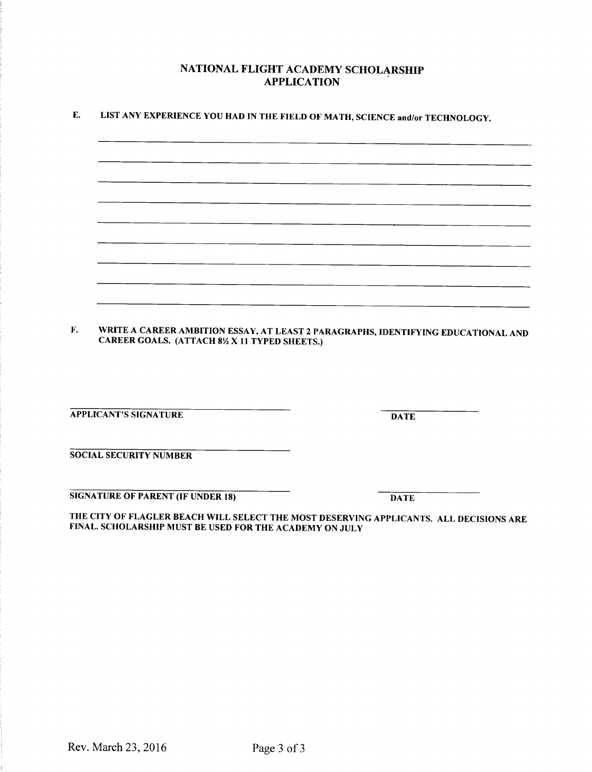### NATIONAL FLIGHT ACADEMY SCHOLARSHIP APPLICATION

| <b>APPLICANT'S SIGNATURE</b>                                                                                                                      | <b>DATE</b> |
|---------------------------------------------------------------------------------------------------------------------------------------------------|-------------|
| <b>SOCIAL SECURITY NUMBER</b>                                                                                                                     |             |
| <b>SIGNATURE OF PARENT (IF UNDER 18)</b>                                                                                                          | <b>DATE</b> |
|                                                                                                                                                   |             |
| THE CITY OF FLAGLER BEACH WILL SELECT THE MOST DESERVING APPLICANTS. ALL DECISIONS ARE<br>FINAL. SCHOLARSHIP MUST BE USED FOR THE ACADEMY ON JULY |             |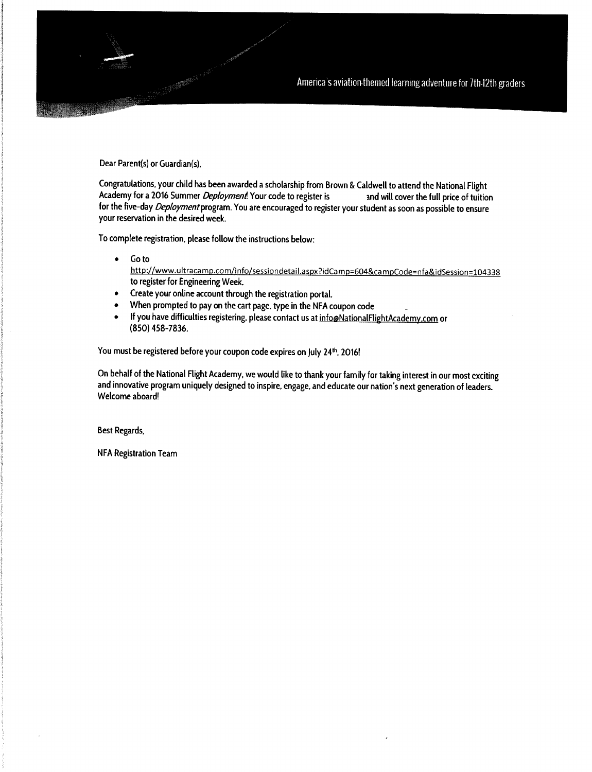America's aviation themed learning adventure for 7th 12th graders

Dear Parent(s) or Guardian(s),

Congratulations, your child has been awarded a scholarship from Brown & Caldwell to attend the National Flight<br>Academy for a 2016 Summer *Deployment*! Your code to register is **community and will cover the full price of tu** Academy for a 2016 Summer *Deployment*! Your code to register is for the five-day *Deployment* program. You are encouraged to register your student as soon as possible to ensure your reservation in the desired week.

To complete registration, please follow the instructions below:

Go to  $\bullet$ 

http://www.ultracamp.com/info/sessiondetail.aspx?idCamp=604&campCode=nfa&idSession=104338 to register for Engineering Week.

- Create your online account through the registration portal.  $\bullet$
- When prompted to pay on the cart page, type in the NFA coupon code \_  $\bullet$
- If you have difficulties registering, please contact us at info@NationalFlightAcademy.com or 850) 458 -7836.

You must be registered before your coupon code expires on July 24<sup>th</sup>, 2016!

On behalf of the National Flight Academy, we would like to thank your family for taking interest in our most exciting and innovative program uniquely designed to inspire, engage, and educate our nation's next generation of leaders. Welcome aboard!

Best Regards,

NFA Registration Team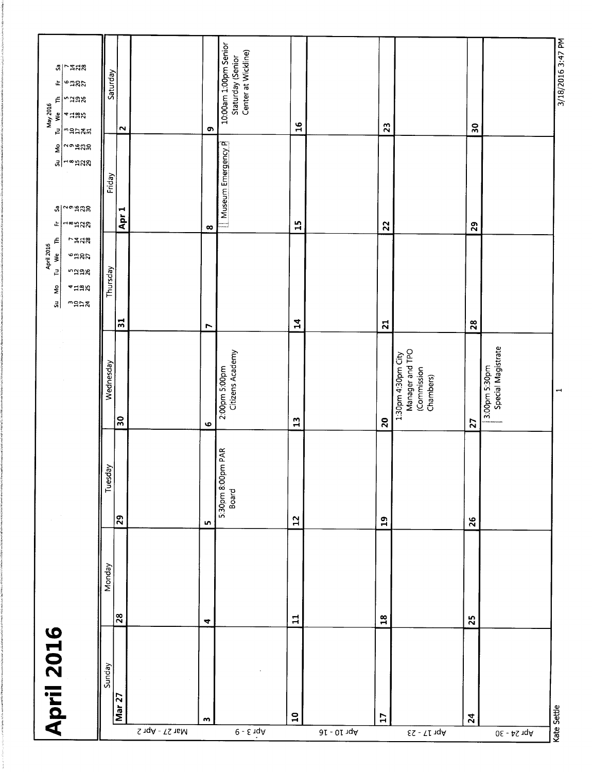| 10:00am 1:00pm Senior<br>Staturday (Senior<br>Center at Wickline)<br>Saturday<br>$\mathrel{\text{f}}$<br>ndax<br>May 2016<br>Tu We<br>4428<br>$\mathbf{a}$<br>23<br>$\boldsymbol{30}$<br>$\sim$<br>თ,<br>$m$ gnan<br>Museum Emergency P<br>$\sim$ 9222<br>$\frac{1}{2}$<br>ื⊿ื <sup>่</sup> ⊣∞่ฅลล<br>Friday<br>a <br>Apr <sub>1</sub><br>$\frac{15}{11}$<br>⊐∞ದಚಚ<br>22<br>29<br>正<br>$\infty$<br>É<br>つね込み<br>April 2016<br>Tu We Tl<br><b>eggy</b><br>Thursday<br>ndax<br>4458<br>$\frac{S_{\text{L1}}}{M_{\odot}}$ |
|------------------------------------------------------------------------------------------------------------------------------------------------------------------------------------------------------------------------------------------------------------------------------------------------------------------------------------------------------------------------------------------------------------------------------------------------------------------------------------------------------------------------|
|------------------------------------------------------------------------------------------------------------------------------------------------------------------------------------------------------------------------------------------------------------------------------------------------------------------------------------------------------------------------------------------------------------------------------------------------------------------------------------------------------------------------|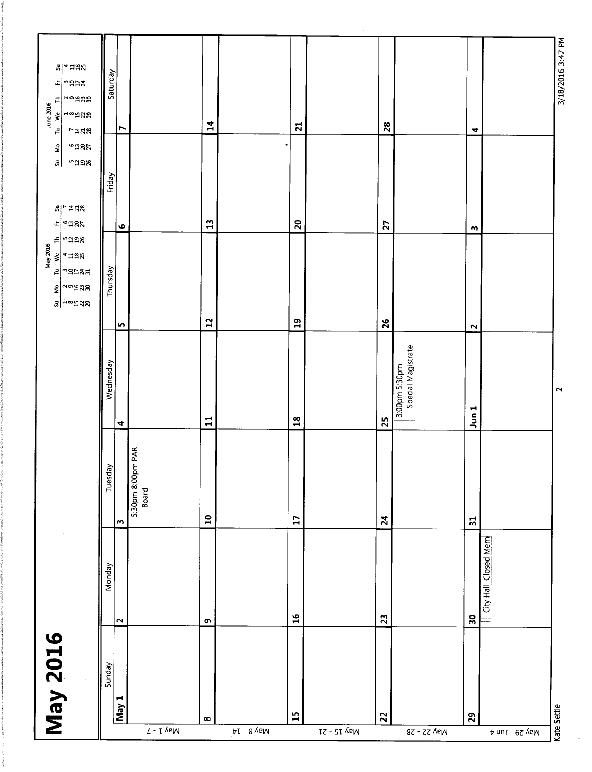| I VeM                 | <b>May 2016</b><br>Sunday | Monday<br>$\mathbf{\sim}$  | Tuesday<br>$\mathbf{w}$                    | Wednesday<br>4                            | $F$   $n$ aax<br>$\begin{array}{rcl}\n&\text{May 2016} \\ \hline\nI_0 & \text{We} & \text{TH} \\ & 3 & 4 & 12 \\ I_1^2 & 13 & 12 \\ I_2^2 & 25 & 26 \\ I_3^2 & 31 & 28\n\end{array}$<br>Thursday<br>$\frac{2}{3}$ $\frac{1}{3}$ $\frac{1}{3}$<br>$3$ – $\approx$ 5%<br>5 | $\frac{5u}{100}$<br>9285<br><b>"Jak</b><br>Friday<br>$S \sim 100$<br>$F$   e $\overline{a}$ & $\overline{a}$<br>$\bullet$ | $a _4$ Haz<br>Saturday<br>$\mathcal{L}$<br>∣∾ล¤≭<br>$\sim$ $\frac{1}{2}$<br>$\mathop{\varepsilon}\nolimits$<br>June 2016<br>Tu We TI<br>⊣∞ฅ¤ฆ<br>r<br><b>7328</b> |
|-----------------------|---------------------------|----------------------------|--------------------------------------------|-------------------------------------------|--------------------------------------------------------------------------------------------------------------------------------------------------------------------------------------------------------------------------------------------------------------------------|---------------------------------------------------------------------------------------------------------------------------|-------------------------------------------------------------------------------------------------------------------------------------------------------------------|
| $\infty$              |                           | $\bullet$                  | 5:30pm 8:00pm PAR<br>Board<br>$\mathbf{a}$ | $\mathbf{1}$                              | $\mathbf{r}$                                                                                                                                                                                                                                                             | $\mathbf{r}$                                                                                                              | 14                                                                                                                                                                |
| 15                    |                           | $\frac{6}{1}$              | $\mathbf{L}$                               | $\frac{8}{16}$                            | $\mathbf{a}$                                                                                                                                                                                                                                                             | $\overline{20}$                                                                                                           | $\overline{21}$                                                                                                                                                   |
|                       |                           |                            |                                            |                                           |                                                                                                                                                                                                                                                                          |                                                                                                                           |                                                                                                                                                                   |
| $\mathbf{2}^{\prime}$ |                           | 23                         | $\overline{24}$                            | 3:00pm 5:30pm<br>Special Magistrate<br>25 | 26                                                                                                                                                                                                                                                                       | 27                                                                                                                        | 28                                                                                                                                                                |
| 29                    |                           | City Hall Closed Mem<br>30 | $\Xi$                                      | Jun 1                                     | $\sim$                                                                                                                                                                                                                                                                   | $\blacksquare$                                                                                                            | 4                                                                                                                                                                 |
| Kate Settle           |                           |                            |                                            | $\sim$                                    |                                                                                                                                                                                                                                                                          |                                                                                                                           | 3/18/2016 3:47 PM                                                                                                                                                 |

 $\epsilon$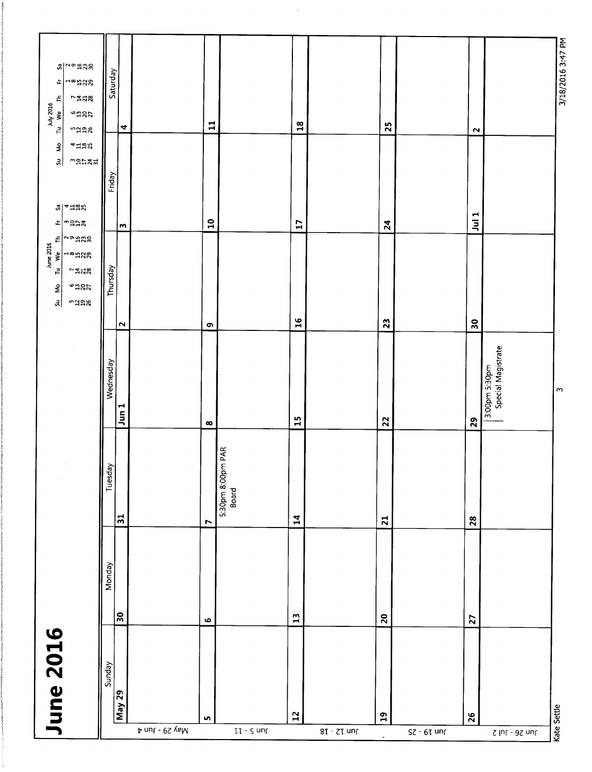|                             | <b>June 2016</b> |              |        |                                        |                                     | $E _{\omega}$ aras<br>June 2016<br>Tu We TI<br>$\rightarrow \infty$ HAS<br><b>7528</b><br><b>engh</b><br>Su Mo<br>ndax | <b>AHHA</b><br>$\frac{6}{5}$<br>$\vert$ $\vert$<br>manan<br>$B$ $\sim$ $\frac{1}{2}$<br>⊭∣ุ่‴ล⊳มี | $\frac{1}{2}$ $\frac{1}{2}$ $\frac{1}{2}$<br>$\rightarrow$ 2023<br>ú.<br><b>7428</b><br>Ę<br>July 2016<br>Tu We<br>$^{\circ}$ ngg<br>ndag |
|-----------------------------|------------------|--------------|--------|----------------------------------------|-------------------------------------|------------------------------------------------------------------------------------------------------------------------|---------------------------------------------------------------------------------------------------|-------------------------------------------------------------------------------------------------------------------------------------------|
|                             | Sunday           |              | Monday | Tuesday                                | Wednesday                           | Thursday                                                                                                               | Friday                                                                                            | Saturday                                                                                                                                  |
|                             | May 29           | န္က          |        | $\overline{51}$                        | $J$ un $1$                          | $\mathbf{\mathsf{N}}$                                                                                                  | w                                                                                                 | 4                                                                                                                                         |
| A nul - 0S yaM              |                  |              |        |                                        |                                     |                                                                                                                        |                                                                                                   |                                                                                                                                           |
|                             | LO <sub>1</sub>  | $\bullet$    |        | Ľ                                      | $\infty$                            | $\bullet$                                                                                                              | $\mathbf{a}$                                                                                      | $\mathbf{1}$                                                                                                                              |
| $II - I$                    |                  |              |        | <b>JMPAR</b><br>5:30pm 8:00pr<br>Board |                                     |                                                                                                                        |                                                                                                   |                                                                                                                                           |
|                             | $\mathbf{r}$     | $\mathbf{1}$ |        | $\mathbf{1}$                           | 15                                  | 16                                                                                                                     | $\mathbf{L}$                                                                                      | $\frac{8}{18}$                                                                                                                            |
| $8I - 7I$ un $f$            |                  |              |        |                                        |                                     |                                                                                                                        |                                                                                                   |                                                                                                                                           |
|                             | $\mathbf{a}$     | $20$         |        | $\overline{21}$                        | 22                                  | 23                                                                                                                     | $\overline{2}$                                                                                    | 25                                                                                                                                        |
| $S$ c - $6I$ un $I$         |                  |              |        |                                        |                                     |                                                                                                                        |                                                                                                   |                                                                                                                                           |
|                             | 26               | 27           |        | 28                                     | 29                                  | $\overline{\phantom{0}}$                                                                                               | $J$ ul 1                                                                                          | $\mathbf{\Omega}$                                                                                                                         |
| $\zeta$  nr - 9 $\zeta$ unr |                  |              |        |                                        | Special Magistrate<br>3:00pm 5:30pm |                                                                                                                        |                                                                                                   |                                                                                                                                           |
|                             | Kate Settle      |              |        |                                        | $\sim$                              |                                                                                                                        |                                                                                                   | 3/18/2016 3:47 PM                                                                                                                         |

 $\hat{\mathcal{A}}$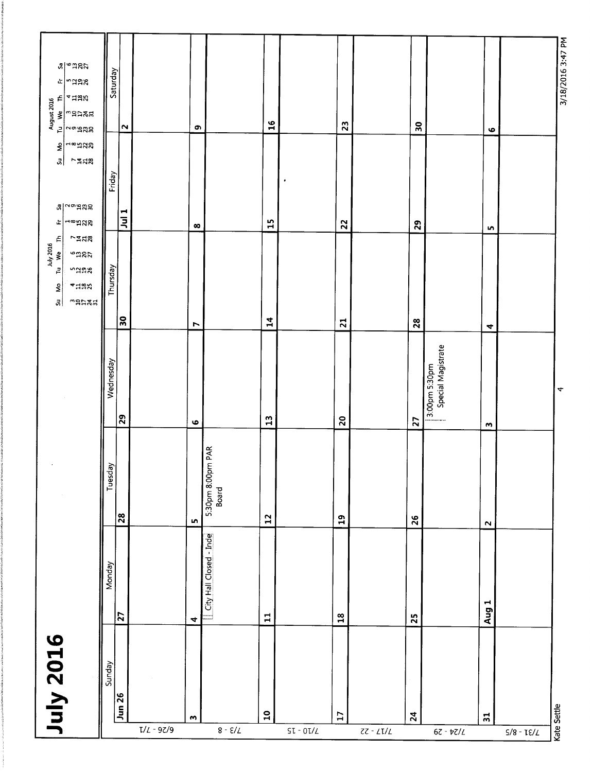| July 2016                                                                                                            | Sunday    | Jun 26                  | $\bullet$ |                            | $\mathbf{a}$    |           | $\overline{17}$ | $\mathbf{z}_4$    |                                     | $\overline{31}$      | Kate Settle          |
|----------------------------------------------------------------------------------------------------------------------|-----------|-------------------------|-----------|----------------------------|-----------------|-----------|-----------------|-------------------|-------------------------------------|----------------------|----------------------|
|                                                                                                                      | Monday    | $\overline{z}$          | 4         | City Hall Closed - Inde    | $\Xi$           |           | $\frac{8}{10}$  | 25                |                                     | Aug 1                |                      |
|                                                                                                                      | Tuesday   | 8                       | Ln.       | 5:30pm 8:00pm PAR<br>Board | $\mathbf{L}$    |           | $\mathbf{a}$    | $\mathbf{26}$     |                                     | $\sim$               |                      |
|                                                                                                                      | Wednesday | ၃                       | $\bullet$ |                            | $\mathbf{r}$    |           | $\mathbf{S}$    | 27                | 3:00pm 5:30pm<br>Special Magistrate | $\bullet$            | $\blacktriangleleft$ |
| É<br><b>7228</b><br>Tu We T<br><b>engra</b><br>naax<br>* 128<br><b>SP</b><br>$\vec{a}$<br>manat                      | Thursday  | ္က                      | N         |                            | $\mathbf{1}$    |           | $\overline{2}1$ | $28$              |                                     | $\blacktriangleleft$ |                      |
| ⊣∞¤ಇಇ<br>$\epsilon$<br>하<br>~548<br>$\alpha$ $\sim$ $\alpha$<br>180<br>正                                             |           | Friday<br>$\frac{1}{2}$ | $\infty$  |                            | $\mathbf{L}$    | $\bullet$ | 22              | 29                |                                     | <b>In</b>            |                      |
| aledas<br>naag<br>ù.<br>$\epsilon$<br>4558<br>August 2016<br>Tu We Th<br>$m$ aran<br>$\overline{z}$<br>$\sim$ °ິສສຸລ |           | Saturday<br>$\sim$      | $\bullet$ |                            | $\overline{16}$ |           | 23              | $\boldsymbol{50}$ |                                     | $\bullet$            | 3/18/2016 3:47 PM    |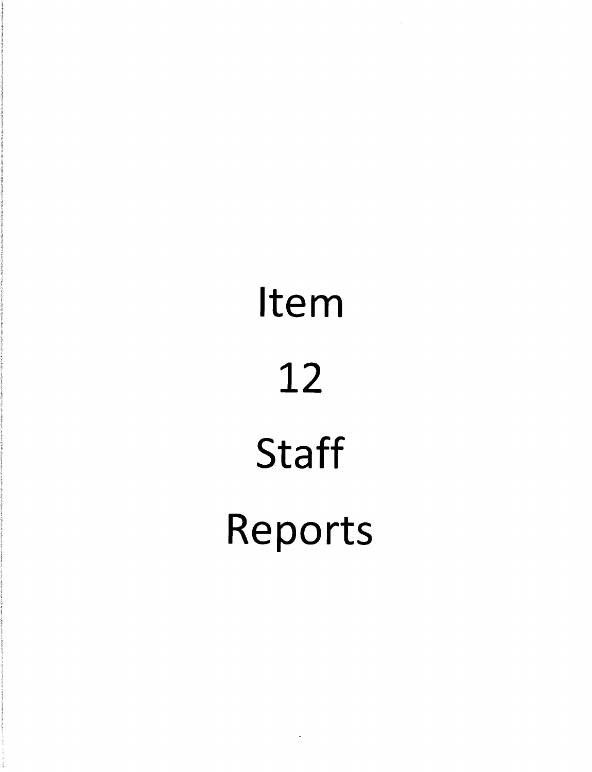# Item 12 **Staff** Reports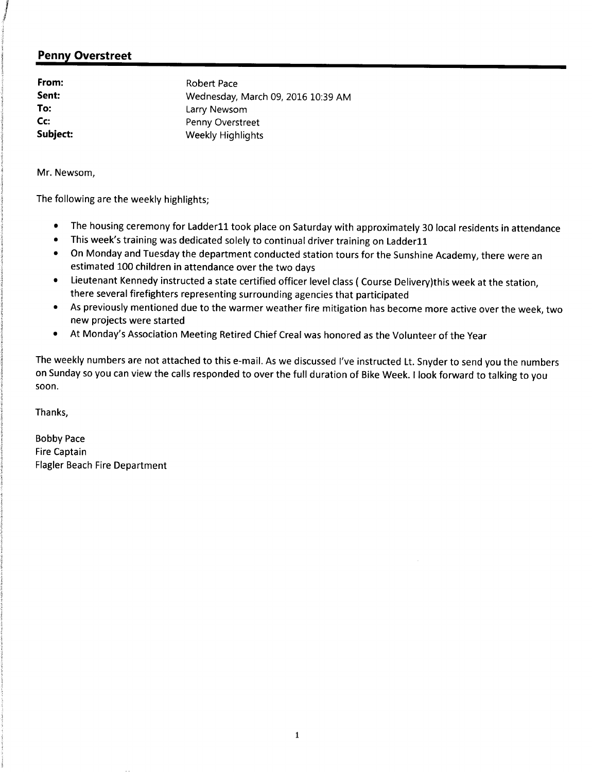### Penny Overstreet

From: Robert Pace To: Larry Newsom<br>
Co: Co: Penny Overstre Cc: Communication of the Penny Overstreet<br>
Subject: Penny Overstreet

Sent: Wednesday, March 09, 2016 10:39 AM<br>
To: Larry Newsom Weekly Highlights

Mr. Newsom,

The following are the weekly highlights;

- The housing ceremony for Ladder11 took place on Saturday with approximately 30 local residents in attendance  $\bullet$
- This week's training was dedicated solely to continual driver training on Ladder11  $\bullet$
- On Monday and Tuesday the department conducted station tours for the Sunshine Academy, there were an  $\bullet$ estimated 100 children in attendance over the two days
- Lieutenant Kennedy instructed <sup>a</sup> state certified officer level class ( Course Delivery)this week at the station,  $\bullet$ there several firefighters representing surrounding agencies that participated
- As previously mentioned due to the warmer weather fire mitigation has become more active over the week, two  $\bullet$ new projects were started
- At Monday's Association Meeting Retired Chief Creal was honored as the Volunteer of the Year  $\bullet$

The weekly numbers are not attached to this e-mail. As we discussed I've instructed Lt. Snyder to send you the numbers on Sunday so you can view the calls responded to over the full duration of Bike Week. I look forward to talking to you soon.

Thanks,

Bobby Pace Fire Captain Flagler Beach Fire Department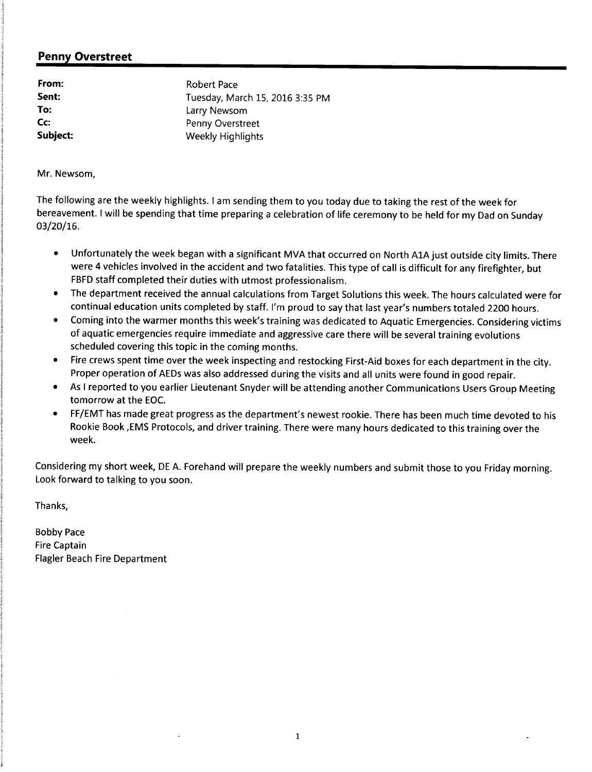### Penny Overstreet

From: Robert Pace Sent: Tuesday, March 15, 2016 3:35 PM<br>To: Larry Newsom **To:** Larry Newsom<br> **Cc:** Penny Overstre Cc: Cc: Penny Overstreet<br>
Subject: Weekly Highlights Weekly Highlights

Mr. Newsom,

The following are the weekly highlights. I am sending them to you today due to taking the rest of the week for bereavement. I will be spending that time preparing <sup>a</sup> celebration of life ceremony to be held for my Dad on Sunday  $03/20/16$ .

- Unfortunately the week began with <sup>a</sup> significant MVA that occurred on North A1A just outside city limits. There were 4 vehicles involved in the accident and two fatalities. This type of call is difficult for any firefighter, but FBFD staff completed their duties with utmost professionalism.
- The department received the annual calculations from Target Solutions this week. The hours calculated were for  $\bullet$ continual education units completed by staff. I'm proud to say that last year's numbers totaled 2200 hours.
- Coming into the warmer months this week's training was dedicated to Aquatic Emergencies. Considering victims  $\bullet$ of aquatic emergencies require immediate and aggressive care there will be several training evolutions scheduled covering this topic in the coming months.
- Fire crews spent time over the week inspecting and restocking First -Aid boxes for each department in the city.  $\bullet$ Proper operation of AEDs was also addressed during the visits and all units were found in good repair.
- $\bullet$ As <sup>I</sup> reported to you earlier Lieutenant Snyder will be attending another Communications Users Group Meeting tomorrow at the EOC.
- FF/EMT has made great progress as the department's newest rookie. There has been much time devoted to his  $\bullet$ Rookie Book, EMS Protocols, and driver training. There were many hours dedicated to this training over the week.

Considering my short week, DE A. Forehand will prepare the weekly numbers and submit those to you Friday morning. Look forward to talking to you soon.

Thanks,

Bobby Pace Fire Captain Flagler Beach Fire Department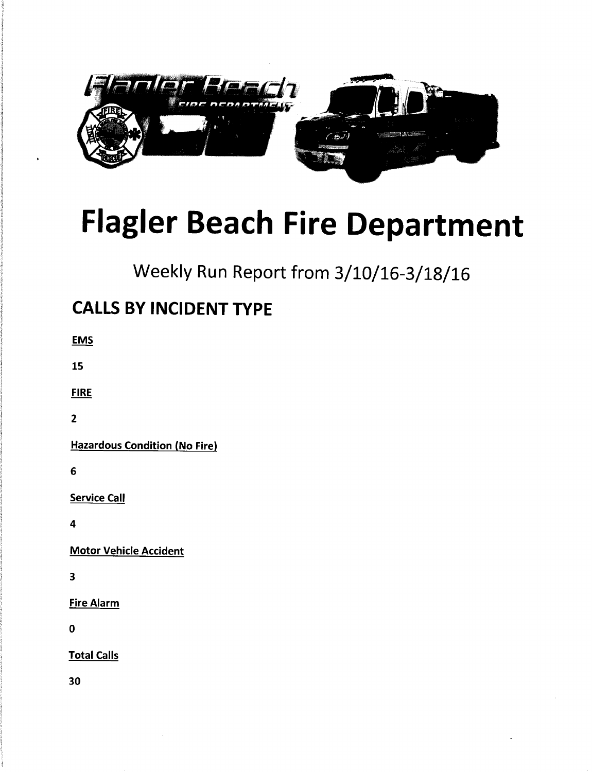

# Flagler Beach Fire Department

Weekly Run Report from 3/10/16-3/18/16

## CALLS BY INCIDENT TYPE

| EMS |  |
|-----|--|
| 15  |  |

FIRE

2

Hazardous Condition (No Fire)

6

Service Call

4

Motor Vehicle Accident

3

Fire Alarm

0

Total Calls

30